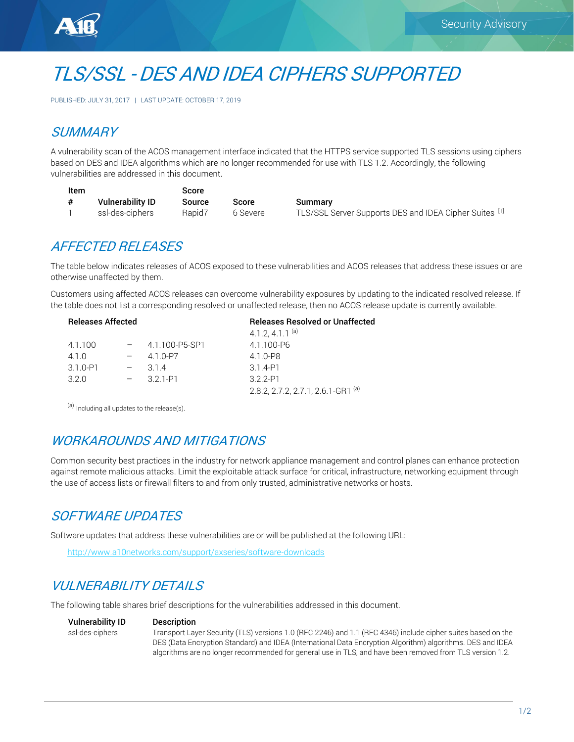



PUBLISHED: JULY 31, 2017 | LAST UPDATE: OCTOBER 17, 2019

## **SUMMARY**

A vulnerability scan of the ACOS management interface indicated that the HTTPS service supported TLS sessions using ciphers based on DES and IDEA algorithms which are no longer recommended for use with TLS 1.2. Accordingly, the following vulnerabilities are addressed in this document.

| Item |                         | Score  |     |
|------|-------------------------|--------|-----|
| #    | <b>Vulnerability ID</b> | Source | Sc  |
|      | ssl-des-ciphers         | Rapid7 | 6 S |

ore Summary Severe TLS/SSL Server Supports DES and IDEA Cipher Suites <sup>[1]</sup>

### AFFECTED RELEASES

The table below indicates releases of ACOS exposed to these vulnerabilities and ACOS releases that address these issues or are otherwise unaffected by them.

Customers using affected ACOS releases can overcome vulnerability exposures by updating to the indicated resolved release. If the table does not list a corresponding resolved or unaffected release, then no ACOS release update is currently available.

| <b>Releases Affected</b> |                | <b>Releases Resolved or Unaffected</b>        |  |
|--------------------------|----------------|-----------------------------------------------|--|
|                          |                | 4.1.2, 4.1.1 $(a)$                            |  |
| 4.1.100                  | 4.1.100-P5-SP1 | 4.1.100-P6                                    |  |
| 410                      | 4 1 0-P7       | 4.1.0-P8                                      |  |
| $3.1.0 - P1$             | 314            | 3 1 4-P1                                      |  |
| 320                      | 3 2 1 - P1     | $322-P1$                                      |  |
|                          |                | 2.8.2, 2.7.2, 2.7.1, 2.6.1-GR1 <sup>(a)</sup> |  |
|                          |                |                                               |  |

<sup>(a)</sup> Including all updates to the release(s).

## WORKAROUNDS AND MITIGATIONS

Common security best practices in the industry for network appliance management and control planes can enhance protection against remote malicious attacks. Limit the exploitable attack surface for critical, infrastructure, networking equipment through the use of access lists or firewall filters to and from only trusted, administrative networks or hosts.

## SOFTWARE UPDATES

Software updates that address these vulnerabilities are or will be published at the following URL:

<http://www.a10networks.com/support/axseries/software-downloads>

# VULNERABILITY DETAILS

The following table shares brief descriptions for the vulnerabilities addressed in this document.

Vulnerability ID Description

ssl-des-ciphers Transport Layer Security (TLS) versions 1.0 (RFC 2246) and 1.1 (RFC 4346) include cipher suites based on the DES (Data Encryption Standard) and IDEA (International Data Encryption Algorithm) algorithms. DES and IDEA algorithms are no longer recommended for general use in TLS, and have been removed from TLS version 1.2.